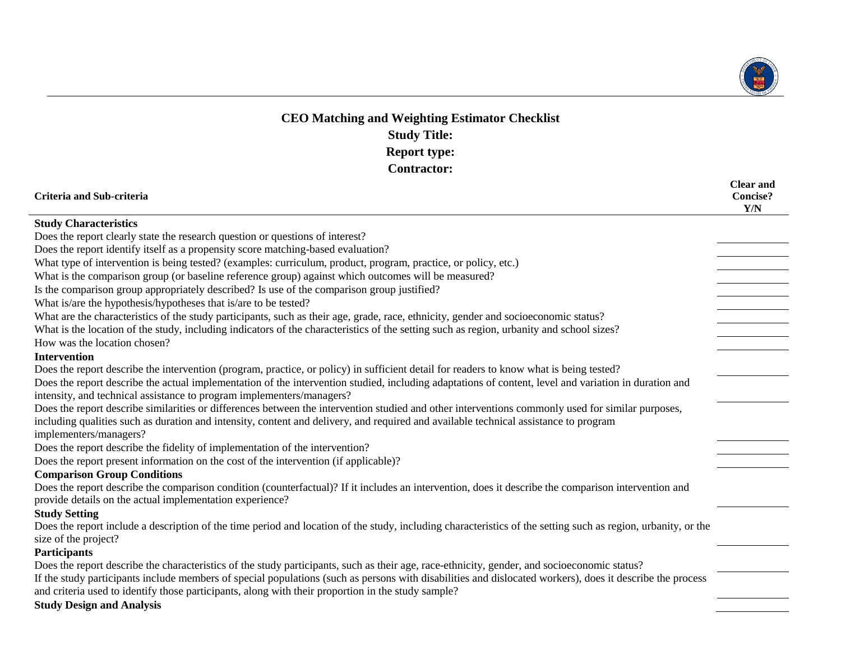

## **CEO Matching and Weighting Estimator Checklist Study Title: Report type: Contractor:**

| Criteria and Sub-criteria                                                                                                                                                                                                                                       | <b>Clear and</b><br><b>Concise?</b><br>Y/N |
|-----------------------------------------------------------------------------------------------------------------------------------------------------------------------------------------------------------------------------------------------------------------|--------------------------------------------|
| <b>Study Characteristics</b>                                                                                                                                                                                                                                    |                                            |
| Does the report clearly state the research question or questions of interest?                                                                                                                                                                                   |                                            |
| Does the report identify itself as a propensity score matching-based evaluation?                                                                                                                                                                                |                                            |
| What type of intervention is being tested? (examples: curriculum, product, program, practice, or policy, etc.)                                                                                                                                                  |                                            |
| What is the comparison group (or baseline reference group) against which outcomes will be measured?                                                                                                                                                             |                                            |
| Is the comparison group appropriately described? Is use of the comparison group justified?                                                                                                                                                                      |                                            |
| What is/are the hypothesis/hypotheses that is/are to be tested?                                                                                                                                                                                                 |                                            |
| What are the characteristics of the study participants, such as their age, grade, race, ethnicity, gender and socioeconomic status?                                                                                                                             |                                            |
| What is the location of the study, including indicators of the characteristics of the setting such as region, urbanity and school sizes?                                                                                                                        |                                            |
| How was the location chosen?                                                                                                                                                                                                                                    |                                            |
| <b>Intervention</b>                                                                                                                                                                                                                                             |                                            |
| Does the report describe the intervention (program, practice, or policy) in sufficient detail for readers to know what is being tested?                                                                                                                         |                                            |
| Does the report describe the actual implementation of the intervention studied, including adaptations of content, level and variation in duration and                                                                                                           |                                            |
| intensity, and technical assistance to program implementers/managers?                                                                                                                                                                                           |                                            |
| Does the report describe similarities or differences between the intervention studied and other interventions commonly used for similar purposes,                                                                                                               |                                            |
| including qualities such as duration and intensity, content and delivery, and required and available technical assistance to program                                                                                                                            |                                            |
| implementers/managers?                                                                                                                                                                                                                                          |                                            |
| Does the report describe the fidelity of implementation of the intervention?                                                                                                                                                                                    |                                            |
| Does the report present information on the cost of the intervention (if applicable)?                                                                                                                                                                            |                                            |
| <b>Comparison Group Conditions</b>                                                                                                                                                                                                                              |                                            |
| Does the report describe the comparison condition (counterfactual)? If it includes an intervention, does it describe the comparison intervention and<br>provide details on the actual implementation experience?                                                |                                            |
| <b>Study Setting</b>                                                                                                                                                                                                                                            |                                            |
| Does the report include a description of the time period and location of the study, including characteristics of the setting such as region, urbanity, or the                                                                                                   |                                            |
| size of the project?                                                                                                                                                                                                                                            |                                            |
| <b>Participants</b>                                                                                                                                                                                                                                             |                                            |
| Does the report describe the characteristics of the study participants, such as their age, race-ethnicity, gender, and socioeconomic status?                                                                                                                    |                                            |
| If the study participants include members of special populations (such as persons with disabilities and dislocated workers), does it describe the process<br>and criteria used to identify those participants, along with their proportion in the study sample? |                                            |
| <b>Study Design and Analysis</b>                                                                                                                                                                                                                                |                                            |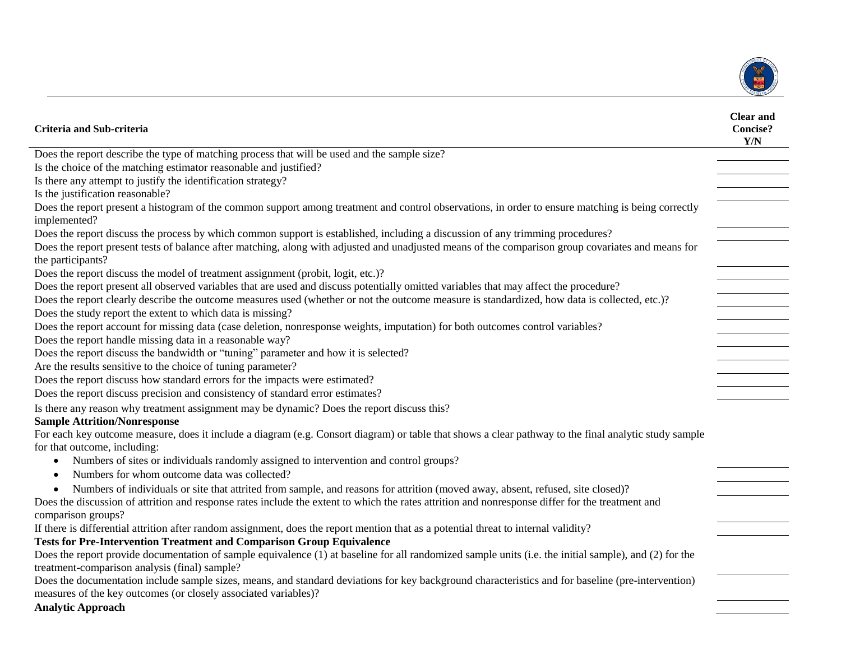

| Criteria and Sub-criteria                                                                                                                                                                               | <b>Clear and</b><br><b>Concise?</b><br>Y/N |
|---------------------------------------------------------------------------------------------------------------------------------------------------------------------------------------------------------|--------------------------------------------|
| Does the report describe the type of matching process that will be used and the sample size?                                                                                                            |                                            |
| Is the choice of the matching estimator reasonable and justified?                                                                                                                                       |                                            |
| Is there any attempt to justify the identification strategy?                                                                                                                                            |                                            |
| Is the justification reasonable?                                                                                                                                                                        |                                            |
| Does the report present a histogram of the common support among treatment and control observations, in order to ensure matching is being correctly<br>implemented?                                      |                                            |
| Does the report discuss the process by which common support is established, including a discussion of any trimming procedures?                                                                          |                                            |
| Does the report present tests of balance after matching, along with adjusted and unadjusted means of the comparison group covariates and means for<br>the participants?                                 |                                            |
| Does the report discuss the model of treatment assignment (probit, logit, etc.)?                                                                                                                        |                                            |
| Does the report present all observed variables that are used and discuss potentially omitted variables that may affect the procedure?                                                                   |                                            |
| Does the report clearly describe the outcome measures used (whether or not the outcome measure is standardized, how data is collected, etc.)?                                                           |                                            |
| Does the study report the extent to which data is missing?                                                                                                                                              |                                            |
| Does the report account for missing data (case deletion, nonresponse weights, imputation) for both outcomes control variables?                                                                          |                                            |
| Does the report handle missing data in a reasonable way?                                                                                                                                                |                                            |
| Does the report discuss the bandwidth or "tuning" parameter and how it is selected?                                                                                                                     |                                            |
| Are the results sensitive to the choice of tuning parameter?                                                                                                                                            |                                            |
| Does the report discuss how standard errors for the impacts were estimated?                                                                                                                             |                                            |
| Does the report discuss precision and consistency of standard error estimates?                                                                                                                          |                                            |
| Is there any reason why treatment assignment may be dynamic? Does the report discuss this?                                                                                                              |                                            |
| <b>Sample Attrition/Nonresponse</b>                                                                                                                                                                     |                                            |
| For each key outcome measure, does it include a diagram (e.g. Consort diagram) or table that shows a clear pathway to the final analytic study sample                                                   |                                            |
| for that outcome, including:                                                                                                                                                                            |                                            |
| Numbers of sites or individuals randomly assigned to intervention and control groups?<br>$\bullet$                                                                                                      |                                            |
| Numbers for whom outcome data was collected?                                                                                                                                                            |                                            |
| Numbers of individuals or site that attrited from sample, and reasons for attrition (moved away, absent, refused, site closed)?                                                                         |                                            |
| Does the discussion of attrition and response rates include the extent to which the rates attrition and nonresponse differ for the treatment and                                                        |                                            |
| comparison groups?                                                                                                                                                                                      |                                            |
| If there is differential attrition after random assignment, does the report mention that as a potential threat to internal validity?                                                                    |                                            |
| <b>Tests for Pre-Intervention Treatment and Comparison Group Equivalence</b>                                                                                                                            |                                            |
| Does the report provide documentation of sample equivalence (1) at baseline for all randomized sample units (i.e. the initial sample), and (2) for the<br>treatment-comparison analysis (final) sample? |                                            |
| Does the documentation include sample sizes, means, and standard deviations for key background characteristics and for baseline (pre-intervention)                                                      |                                            |
| measures of the key outcomes (or closely associated variables)?                                                                                                                                         |                                            |
| <b>Analytic Approach</b>                                                                                                                                                                                |                                            |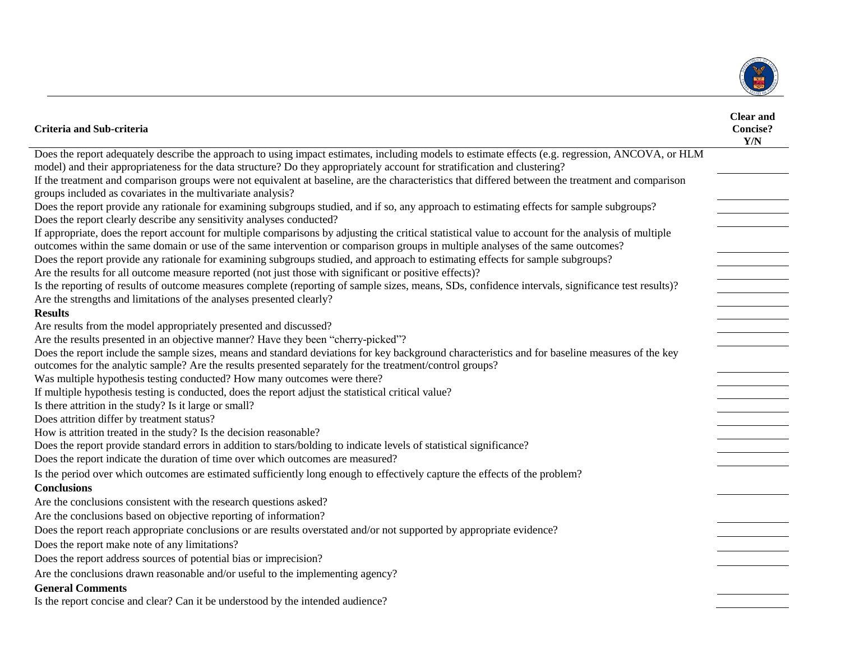

| Criteria and Sub-criteria                                                                                                                                                                                                                                                                                                                                                                                                                                                                                                             | <b>Clear and</b><br><b>Concise?</b><br>Y/N |
|---------------------------------------------------------------------------------------------------------------------------------------------------------------------------------------------------------------------------------------------------------------------------------------------------------------------------------------------------------------------------------------------------------------------------------------------------------------------------------------------------------------------------------------|--------------------------------------------|
| Does the report adequately describe the approach to using impact estimates, including models to estimate effects (e.g. regression, ANCOVA, or HLM                                                                                                                                                                                                                                                                                                                                                                                     |                                            |
| model) and their appropriateness for the data structure? Do they appropriately account for stratification and clustering?                                                                                                                                                                                                                                                                                                                                                                                                             |                                            |
| If the treatment and comparison groups were not equivalent at baseline, are the characteristics that differed between the treatment and comparison<br>groups included as covariates in the multivariate analysis?                                                                                                                                                                                                                                                                                                                     |                                            |
| Does the report provide any rationale for examining subgroups studied, and if so, any approach to estimating effects for sample subgroups?<br>Does the report clearly describe any sensitivity analyses conducted?                                                                                                                                                                                                                                                                                                                    |                                            |
| If appropriate, does the report account for multiple comparisons by adjusting the critical statistical value to account for the analysis of multiple<br>outcomes within the same domain or use of the same intervention or comparison groups in multiple analyses of the same outcomes?<br>Does the report provide any rationale for examining subgroups studied, and approach to estimating effects for sample subgroups?<br>Are the results for all outcome measure reported (not just those with significant or positive effects)? |                                            |
| Is the reporting of results of outcome measures complete (reporting of sample sizes, means, SDs, confidence intervals, significance test results)?<br>Are the strengths and limitations of the analyses presented clearly?                                                                                                                                                                                                                                                                                                            |                                            |
| <b>Results</b>                                                                                                                                                                                                                                                                                                                                                                                                                                                                                                                        |                                            |
| Are results from the model appropriately presented and discussed?                                                                                                                                                                                                                                                                                                                                                                                                                                                                     |                                            |
| Are the results presented in an objective manner? Have they been "cherry-picked"?                                                                                                                                                                                                                                                                                                                                                                                                                                                     |                                            |
| Does the report include the sample sizes, means and standard deviations for key background characteristics and for baseline measures of the key<br>outcomes for the analytic sample? Are the results presented separately for the treatment/control groups?<br>Was multiple hypothesis testing conducted? How many outcomes were there?                                                                                                                                                                                               |                                            |
| If multiple hypothesis testing is conducted, does the report adjust the statistical critical value?                                                                                                                                                                                                                                                                                                                                                                                                                                   |                                            |
| Is there attrition in the study? Is it large or small?                                                                                                                                                                                                                                                                                                                                                                                                                                                                                |                                            |
| Does attrition differ by treatment status?                                                                                                                                                                                                                                                                                                                                                                                                                                                                                            |                                            |
| How is attrition treated in the study? Is the decision reasonable?                                                                                                                                                                                                                                                                                                                                                                                                                                                                    |                                            |
| Does the report provide standard errors in addition to stars/bolding to indicate levels of statistical significance?<br>Does the report indicate the duration of time over which outcomes are measured?                                                                                                                                                                                                                                                                                                                               |                                            |
| Is the period over which outcomes are estimated sufficiently long enough to effectively capture the effects of the problem?<br><b>Conclusions</b>                                                                                                                                                                                                                                                                                                                                                                                     |                                            |
| Are the conclusions consistent with the research questions asked?                                                                                                                                                                                                                                                                                                                                                                                                                                                                     |                                            |
| Are the conclusions based on objective reporting of information?                                                                                                                                                                                                                                                                                                                                                                                                                                                                      |                                            |
| Does the report reach appropriate conclusions or are results overstated and/or not supported by appropriate evidence?                                                                                                                                                                                                                                                                                                                                                                                                                 |                                            |
| Does the report make note of any limitations?                                                                                                                                                                                                                                                                                                                                                                                                                                                                                         |                                            |
| Does the report address sources of potential bias or imprecision?                                                                                                                                                                                                                                                                                                                                                                                                                                                                     |                                            |
| Are the conclusions drawn reasonable and/or useful to the implementing agency?                                                                                                                                                                                                                                                                                                                                                                                                                                                        |                                            |
| <b>General Comments</b>                                                                                                                                                                                                                                                                                                                                                                                                                                                                                                               |                                            |
| Is the report concise and clear? Can it be understood by the intended audience?                                                                                                                                                                                                                                                                                                                                                                                                                                                       |                                            |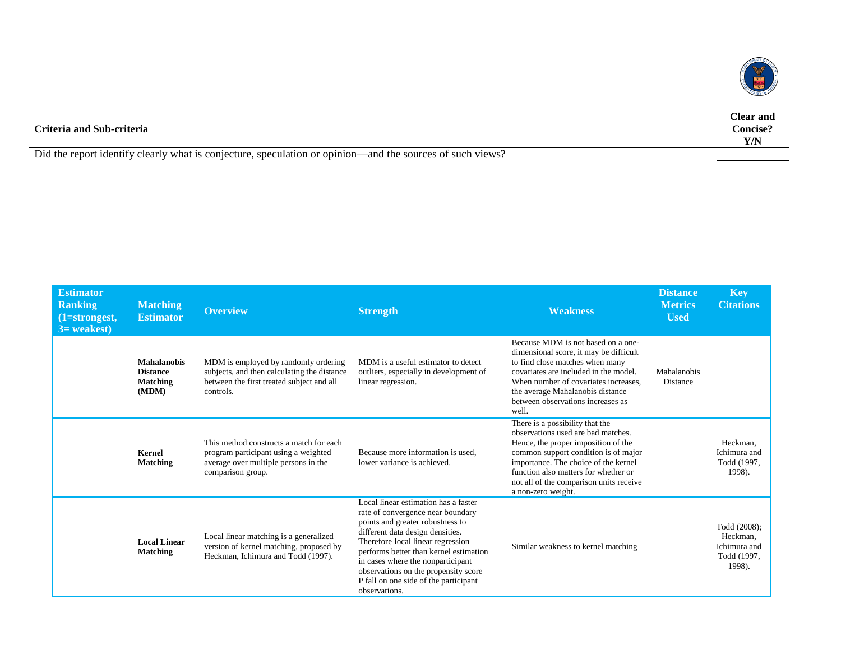

| Criteria and Sub-criteria                                                                                 | <b>Clear</b> and<br><b>Concise?</b><br>Y/N |
|-----------------------------------------------------------------------------------------------------------|--------------------------------------------|
| Did the report identify clearly what is conjecture, speculation or opinion—and the sources of such views? |                                            |
|                                                                                                           |                                            |

| <b>Estimator</b><br><b>Ranking</b><br>$(1=strongest,$<br>$3=$ weakest) | <b>Matching</b><br><b>Estimator</b>                               | <b>Overview</b>                                                                                                                               | <b>Strength</b>                                                                                                                                                                                                                                                                                                                                                         | <b>Weakness</b>                                                                                                                                                                                                                                                                                       | <b>Distance</b><br><b>Metrics</b><br><b>Used</b> | <b>Key</b><br><b>Citations</b>                                    |
|------------------------------------------------------------------------|-------------------------------------------------------------------|-----------------------------------------------------------------------------------------------------------------------------------------------|-------------------------------------------------------------------------------------------------------------------------------------------------------------------------------------------------------------------------------------------------------------------------------------------------------------------------------------------------------------------------|-------------------------------------------------------------------------------------------------------------------------------------------------------------------------------------------------------------------------------------------------------------------------------------------------------|--------------------------------------------------|-------------------------------------------------------------------|
|                                                                        | <b>Mahalanobis</b><br><b>Distance</b><br><b>Matching</b><br>(MDM) | MDM is employed by randomly ordering<br>subjects, and then calculating the distance<br>between the first treated subject and all<br>controls. | MDM is a useful estimator to detect<br>outliers, especially in development of<br>linear regression.                                                                                                                                                                                                                                                                     | Because MDM is not based on a one-<br>dimensional score, it may be difficult<br>to find close matches when many<br>covariates are included in the model.<br>When number of covariates increases.<br>the average Mahalanobis distance<br>between observations increases as<br>well.                    | Mahalanobis<br>Distance                          |                                                                   |
|                                                                        | Kernel<br><b>Matching</b>                                         | This method constructs a match for each<br>program participant using a weighted<br>average over multiple persons in the<br>comparison group.  | Because more information is used.<br>lower variance is achieved.                                                                                                                                                                                                                                                                                                        | There is a possibility that the<br>observations used are bad matches.<br>Hence, the proper imposition of the<br>common support condition is of major<br>importance. The choice of the kernel<br>function also matters for whether or<br>not all of the comparison units receive<br>a non-zero weight. |                                                  | Heckman,<br>Ichimura and<br>Todd (1997,<br>1998).                 |
|                                                                        | <b>Local Linear</b><br><b>Matching</b>                            | Local linear matching is a generalized<br>version of kernel matching, proposed by<br>Heckman, Ichimura and Todd (1997).                       | Local linear estimation has a faster<br>rate of convergence near boundary<br>points and greater robustness to<br>different data design densities.<br>Therefore local linear regression<br>performs better than kernel estimation<br>in cases where the nonparticipant<br>observations on the propensity score<br>P fall on one side of the participant<br>observations. | Similar weakness to kernel matching                                                                                                                                                                                                                                                                   |                                                  | Todd (2008);<br>Heckman,<br>Ichimura and<br>Todd (1997,<br>1998). |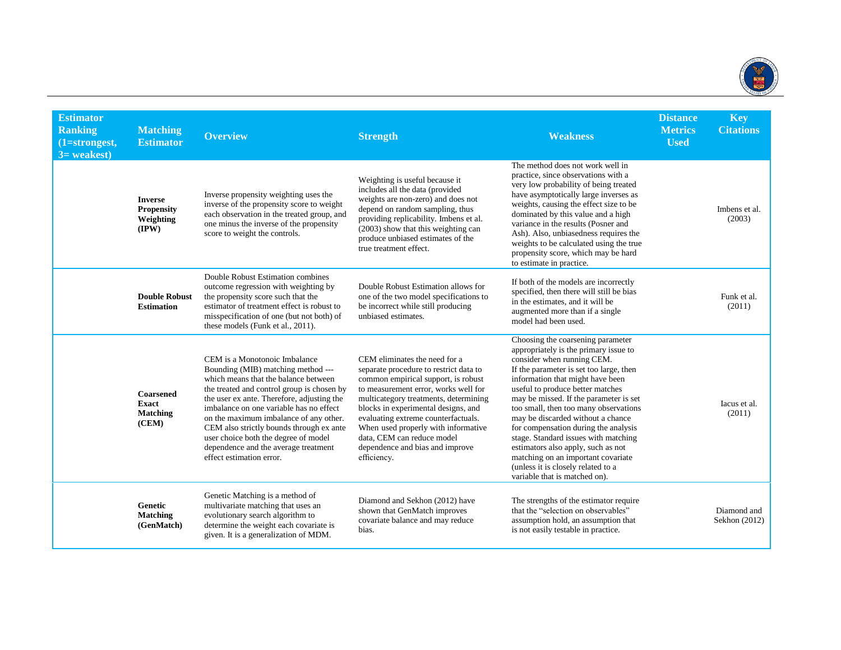

| <b>Estimator</b><br><b>Ranking</b><br>(1=strongest,<br>$3=$ weakest) | <b>Matching</b><br><b>Estimator</b>                                  | <b>Overview</b>                                                                                                                                                                                                                                                                                                                                                                                                                                      | <b>Strength</b>                                                                                                                                                                                                                                                                                                                                                                                      | <b>Weakness</b>                                                                                                                                                                                                                                                                                                                                                                                                                                                                                                                                                                        | <b>Distance</b><br><b>Metrics</b><br><b>Used</b> | <b>Key</b><br><b>Citations</b> |
|----------------------------------------------------------------------|----------------------------------------------------------------------|------------------------------------------------------------------------------------------------------------------------------------------------------------------------------------------------------------------------------------------------------------------------------------------------------------------------------------------------------------------------------------------------------------------------------------------------------|------------------------------------------------------------------------------------------------------------------------------------------------------------------------------------------------------------------------------------------------------------------------------------------------------------------------------------------------------------------------------------------------------|----------------------------------------------------------------------------------------------------------------------------------------------------------------------------------------------------------------------------------------------------------------------------------------------------------------------------------------------------------------------------------------------------------------------------------------------------------------------------------------------------------------------------------------------------------------------------------------|--------------------------------------------------|--------------------------------|
|                                                                      | <b>Inverse</b><br><b>Propensity</b><br>Weighting<br>$(\mathbf{IPW})$ | Inverse propensity weighting uses the<br>inverse of the propensity score to weight<br>each observation in the treated group, and<br>one minus the inverse of the propensity<br>score to weight the controls.                                                                                                                                                                                                                                         | Weighting is useful because it<br>includes all the data (provided<br>weights are non-zero) and does not<br>depend on random sampling, thus<br>providing replicability. Imbens et al.<br>(2003) show that this weighting can<br>produce unbiased estimates of the<br>true treatment effect.                                                                                                           | The method does not work well in<br>practice, since observations with a<br>very low probability of being treated<br>have asymptotically large inverses as<br>weights, causing the effect size to be<br>dominated by this value and a high<br>variance in the results (Posner and<br>Ash). Also, unbiasedness requires the<br>weights to be calculated using the true<br>propensity score, which may be hard<br>to estimate in practice.                                                                                                                                                |                                                  | Imbens et al.<br>(2003)        |
|                                                                      | <b>Double Robust</b><br><b>Estimation</b>                            | Double Robust Estimation combines<br>outcome regression with weighting by<br>the propensity score such that the<br>estimator of treatment effect is robust to<br>misspecification of one (but not both) of<br>these models (Funk et al., 2011).                                                                                                                                                                                                      | Double Robust Estimation allows for<br>one of the two model specifications to<br>be incorrect while still producing<br>unbiased estimates.                                                                                                                                                                                                                                                           | If both of the models are incorrectly<br>specified, then there will still be bias<br>in the estimates, and it will be<br>augmented more than if a single<br>model had been used.                                                                                                                                                                                                                                                                                                                                                                                                       |                                                  | Funk et al.<br>(2011)          |
|                                                                      | Coarsened<br><b>Exact</b><br><b>Matching</b><br>(CEM)                | CEM is a Monotonoic Imbalance<br>Bounding (MIB) matching method ---<br>which means that the balance between<br>the treated and control group is chosen by<br>the user ex ante. Therefore, adjusting the<br>imbalance on one variable has no effect<br>on the maximum imbalance of any other.<br>CEM also strictly bounds through ex ante<br>user choice both the degree of model<br>dependence and the average treatment<br>effect estimation error. | CEM eliminates the need for a<br>separate procedure to restrict data to<br>common empirical support, is robust<br>to measurement error, works well for<br>multicategory treatments, determining<br>blocks in experimental designs, and<br>evaluating extreme counterfactuals.<br>When used properly with informative<br>data, CEM can reduce model<br>dependence and bias and improve<br>efficiency. | Choosing the coarsening parameter<br>appropriately is the primary issue to<br>consider when running CEM.<br>If the parameter is set too large, then<br>information that might have been<br>useful to produce better matches<br>may be missed. If the parameter is set<br>too small, then too many observations<br>may be discarded without a chance<br>for compensation during the analysis<br>stage. Standard issues with matching<br>estimators also apply, such as not<br>matching on an important covariate<br>(unless it is closely related to a<br>variable that is matched on). |                                                  | Iacus et al.<br>(2011)         |
|                                                                      | Genetic<br>Matching<br>(GenMatch)                                    | Genetic Matching is a method of<br>multivariate matching that uses an<br>evolutionary search algorithm to<br>determine the weight each covariate is<br>given. It is a generalization of MDM.                                                                                                                                                                                                                                                         | Diamond and Sekhon (2012) have<br>shown that GenMatch improves<br>covariate balance and may reduce<br>bias.                                                                                                                                                                                                                                                                                          | The strengths of the estimator require<br>that the "selection on observables"<br>assumption hold, an assumption that<br>is not easily testable in practice.                                                                                                                                                                                                                                                                                                                                                                                                                            |                                                  | Diamond and<br>Sekhon (2012)   |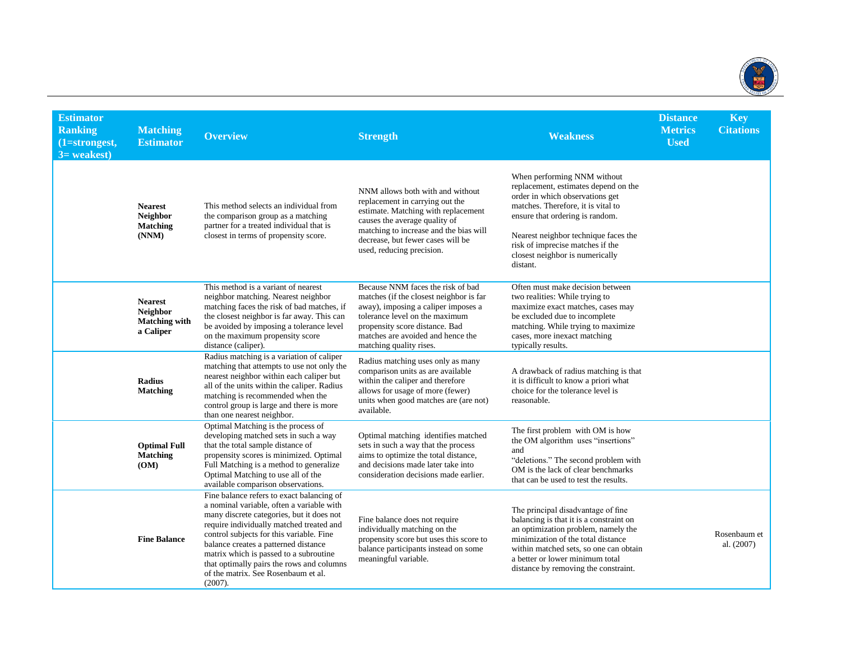

| <b>Estimator</b><br><b>Ranking</b><br>$(1=strongest,$<br>$3=$ weakest) | <b>Matching</b><br><b>Estimator</b>                                    | <b>Overview</b>                                                                                                                                                                                                                                                                                                                                                                                                 | <b>Strength</b>                                                                                                                                                                                                                                         | <b>Weakness</b>                                                                                                                                                                                                                                                                                            | <b>Distance</b><br><b>Metrics</b><br><b>Used</b> | <b>Key</b><br><b>Citations</b> |
|------------------------------------------------------------------------|------------------------------------------------------------------------|-----------------------------------------------------------------------------------------------------------------------------------------------------------------------------------------------------------------------------------------------------------------------------------------------------------------------------------------------------------------------------------------------------------------|---------------------------------------------------------------------------------------------------------------------------------------------------------------------------------------------------------------------------------------------------------|------------------------------------------------------------------------------------------------------------------------------------------------------------------------------------------------------------------------------------------------------------------------------------------------------------|--------------------------------------------------|--------------------------------|
|                                                                        | <b>Nearest</b><br><b>Neighbor</b><br>Matching<br>(NNM)                 | This method selects an individual from<br>the comparison group as a matching<br>partner for a treated individual that is<br>closest in terms of propensity score.                                                                                                                                                                                                                                               | NNM allows both with and without<br>replacement in carrying out the<br>estimate. Matching with replacement<br>causes the average quality of<br>matching to increase and the bias will<br>decrease, but fewer cases will be<br>used, reducing precision. | When performing NNM without<br>replacement, estimates depend on the<br>order in which observations get<br>matches. Therefore, it is vital to<br>ensure that ordering is random.<br>Nearest neighbor technique faces the<br>risk of imprecise matches if the<br>closest neighbor is numerically<br>distant. |                                                  |                                |
|                                                                        | <b>Nearest</b><br><b>Neighbor</b><br><b>Matching with</b><br>a Caliper | This method is a variant of nearest<br>neighbor matching. Nearest neighbor<br>matching faces the risk of bad matches, if<br>the closest neighbor is far away. This can<br>be avoided by imposing a tolerance level<br>on the maximum propensity score<br>distance (caliper).                                                                                                                                    | Because NNM faces the risk of bad<br>matches (if the closest neighbor is far<br>away), imposing a caliper imposes a<br>tolerance level on the maximum<br>propensity score distance. Bad<br>matches are avoided and hence the<br>matching quality rises. | Often must make decision between<br>two realities: While trying to<br>maximize exact matches, cases may<br>be excluded due to incomplete<br>matching. While trying to maximize<br>cases, more inexact matching<br>typically results.                                                                       |                                                  |                                |
|                                                                        | <b>Radius</b><br><b>Matching</b>                                       | Radius matching is a variation of caliper<br>matching that attempts to use not only the<br>nearest neighbor within each caliper but<br>all of the units within the caliper. Radius<br>matching is recommended when the<br>control group is large and there is more<br>than one nearest neighbor.                                                                                                                | Radius matching uses only as many<br>comparison units as are available<br>within the caliper and therefore<br>allows for usage of more (fewer)<br>units when good matches are (are not)<br>available.                                                   | A drawback of radius matching is that<br>it is difficult to know a priori what<br>choice for the tolerance level is<br>reasonable.                                                                                                                                                                         |                                                  |                                |
|                                                                        | <b>Optimal Full</b><br>Matching<br>(OM)                                | Optimal Matching is the process of<br>developing matched sets in such a way<br>that the total sample distance of<br>propensity scores is minimized. Optimal<br>Full Matching is a method to generalize<br>Optimal Matching to use all of the<br>available comparison observations.                                                                                                                              | Optimal matching identifies matched<br>sets in such a way that the process<br>aims to optimize the total distance,<br>and decisions made later take into<br>consideration decisions made earlier.                                                       | The first problem with OM is how<br>the OM algorithm uses "insertions"<br>and<br>"deletions." The second problem with<br>OM is the lack of clear benchmarks<br>that can be used to test the results.                                                                                                       |                                                  |                                |
|                                                                        | <b>Fine Balance</b>                                                    | Fine balance refers to exact balancing of<br>a nominal variable, often a variable with<br>many discrete categories, but it does not<br>require individually matched treated and<br>control subjects for this variable. Fine<br>balance creates a patterned distance<br>matrix which is passed to a subroutine<br>that optimally pairs the rows and columns<br>of the matrix. See Rosenbaum et al.<br>$(2007)$ . | Fine balance does not require<br>individually matching on the<br>propensity score but uses this score to<br>balance participants instead on some<br>meaningful variable.                                                                                | The principal disadvantage of fine<br>balancing is that it is a constraint on<br>an optimization problem, namely the<br>minimization of the total distance<br>within matched sets, so one can obtain<br>a better or lower minimum total<br>distance by removing the constraint.                            |                                                  | Rosenbaum et<br>al. (2007)     |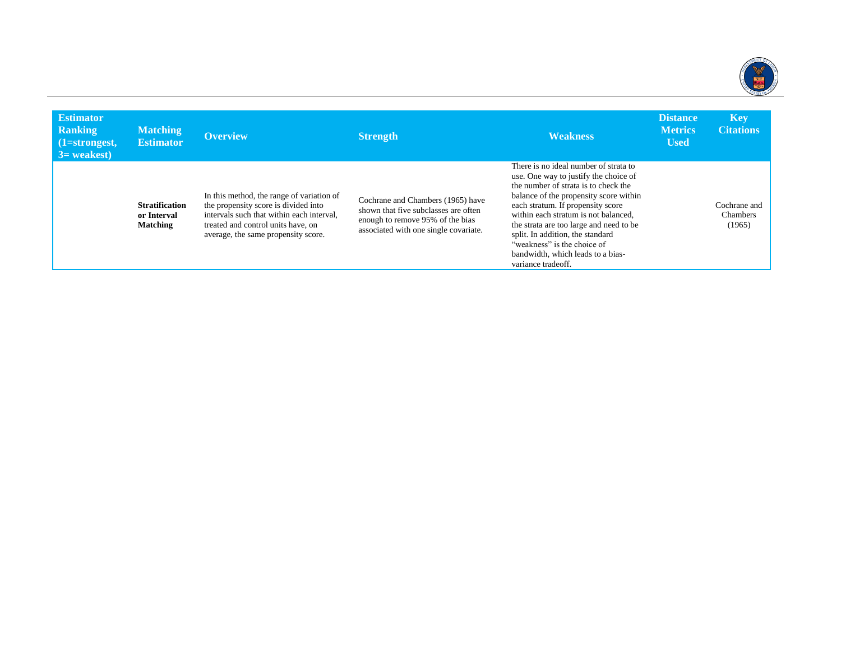

| <b>Estimator</b><br>Ranking<br>$\mid$ (1=strongest,<br>$3$ = weakest) | <b>Matching</b><br><b>Estimator</b>              | <b>Overview</b>                                                                                                                                                                                             | <b>Strength</b>                                                                                                                                        | <b>Weakness</b>                                                                                                                                                                                                                                                                                                                                                                                                        | <b>Distance</b><br><b>Metrics</b><br><b>Used</b> | <b>Key</b><br><b>Citations</b>     |
|-----------------------------------------------------------------------|--------------------------------------------------|-------------------------------------------------------------------------------------------------------------------------------------------------------------------------------------------------------------|--------------------------------------------------------------------------------------------------------------------------------------------------------|------------------------------------------------------------------------------------------------------------------------------------------------------------------------------------------------------------------------------------------------------------------------------------------------------------------------------------------------------------------------------------------------------------------------|--------------------------------------------------|------------------------------------|
|                                                                       | <b>Stratification</b><br>or Interval<br>Matching | In this method, the range of variation of<br>the propensity score is divided into<br>intervals such that within each interval.<br>treated and control units have, on<br>average, the same propensity score. | Cochrane and Chambers (1965) have<br>shown that five subclasses are often<br>enough to remove 95% of the bias<br>associated with one single covariate. | There is no ideal number of strata to<br>use. One way to justify the choice of<br>the number of strata is to check the<br>balance of the propensity score within<br>each stratum. If propensity score<br>within each stratum is not balanced,<br>the strata are too large and need to be<br>split. In addition, the standard<br>"weakness" is the choice of<br>bandwidth, which leads to a bias-<br>variance tradeoff. |                                                  | Cochrane and<br>Chambers<br>(1965) |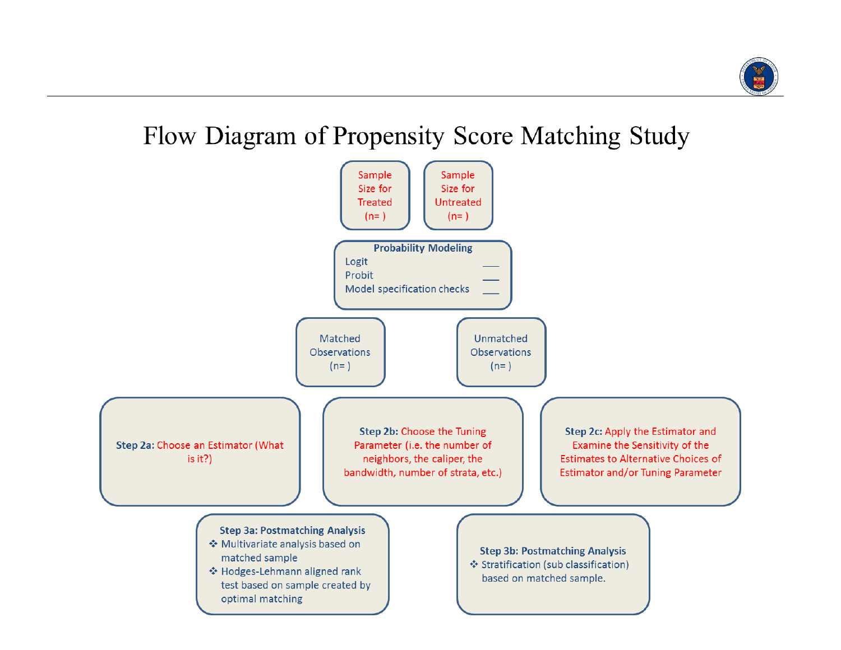

## Flow Diagram of Propensity Score Matching Study

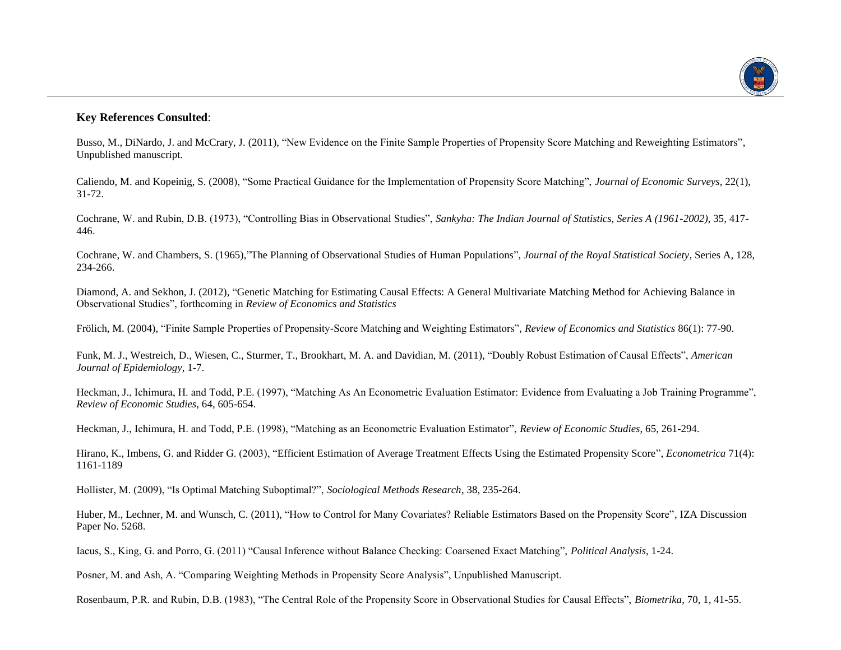

## **Key References Consulted**:

Busso, M., DiNardo, J. and McCrary, J. (2011), "New Evidence on the Finite Sample Properties of Propensity Score Matching and Reweighting Estimators", Unpublished manuscript.

Caliendo, M. and Kopeinig, S. (2008), "Some Practical Guidance for the Implementation of Propensity Score Matching", *Journal of Economic Surveys*, 22(1), 31-72.

Cochrane, W. and Rubin, D.B. (1973), "Controlling Bias in Observational Studies", *Sankyha: The Indian Journal of Statistics, Series A (1961-2002)*, 35, 417- 446.

Cochrane, W. and Chambers, S. (1965),"The Planning of Observational Studies of Human Populations", *Journal of the Royal Statistical Society*, Series A, 128, 234-266.

Diamond, A. and Sekhon, J. (2012), "Genetic Matching for Estimating Causal Effects: A General Multivariate Matching Method for Achieving Balance in Observational Studies", forthcoming in *Review of Economics and Statistics*

Frölich, M. (2004), "Finite Sample Properties of Propensity-Score Matching and Weighting Estimators", *Review of Economics and Statistics* 86(1): 77-90.

Funk, M. J., Westreich, D., Wiesen, C., Sturmer, T., Brookhart, M. A. and Davidian, M. (2011), "Doubly Robust Estimation of Causal Effects", *American Journal of Epidemiology*, 1-7.

Heckman, J., Ichimura, H. and Todd, P.E. (1997), "Matching As An Econometric Evaluation Estimator: Evidence from Evaluating a Job Training Programme", *Review of Economic Studies*, 64, 605-654.

Heckman, J., Ichimura, H. and Todd, P.E. (1998), "Matching as an Econometric Evaluation Estimator", *Review of Economic Studies*, 65, 261-294.

Hirano, K., Imbens, G. and Ridder G. (2003), "Efficient Estimation of Average Treatment Effects Using the Estimated Propensity Score", *Econometrica* 71(4): 1161-1189

Hollister, M. (2009), "Is Optimal Matching Suboptimal?", *Sociological Methods Research*, 38, 235-264.

Huber, M., Lechner, M. and Wunsch, C. (2011), "How to Control for Many Covariates? Reliable Estimators Based on the Propensity Score", IZA Discussion Paper No. 5268.

Iacus, S., King, G. and Porro, G. (2011) "Causal Inference without Balance Checking: Coarsened Exact Matching", *Political Analysis*, 1-24.

Posner, M. and Ash, A. "Comparing Weighting Methods in Propensity Score Analysis", Unpublished Manuscript.

Rosenbaum, P.R. and Rubin, D.B. (1983), "The Central Role of the Propensity Score in Observational Studies for Causal Effects", *Biometrika*, 70, 1, 41-55.